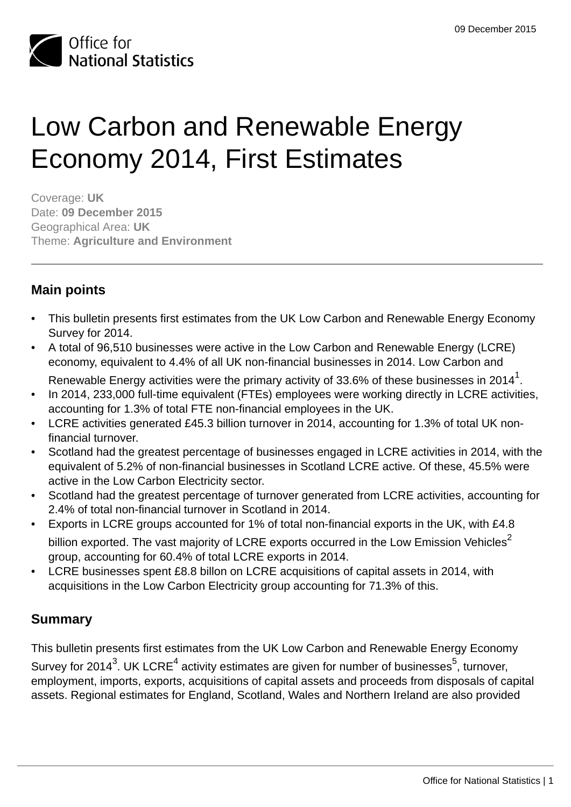

# Low Carbon and Renewable Energy Economy 2014, First Estimates

Coverage: **UK** Date: **09 December 2015** Geographical Area: **UK** Theme: **Agriculture and Environment**

# **Main points**

- This bulletin presents first estimates from the UK Low Carbon and Renewable Energy Economy Survey for 2014.
- A total of 96,510 businesses were active in the Low Carbon and Renewable Energy (LCRE) economy, equivalent to 4.4% of all UK non-financial businesses in 2014. Low Carbon and
	- Renewable Energy activities were the primary activity of 33.6% of these businesses in 2014 $^{\rm 1}$ .
- In 2014, 233,000 full-time equivalent (FTEs) employees were working directly in LCRE activities, accounting for 1.3% of total FTE non-financial employees in the UK.
- LCRE activities generated £45.3 billion turnover in 2014, accounting for 1.3% of total UK nonfinancial turnover.
- Scotland had the greatest percentage of businesses engaged in LCRE activities in 2014, with the equivalent of 5.2% of non-financial businesses in Scotland LCRE active. Of these, 45.5% were active in the Low Carbon Electricity sector.
- Scotland had the greatest percentage of turnover generated from LCRE activities, accounting for 2.4% of total non-financial turnover in Scotland in 2014.
- Exports in LCRE groups accounted for 1% of total non-financial exports in the UK, with £4.8 billion exported. The vast majority of LCRE exports occurred in the Low Emission Vehicles<sup>2</sup> group, accounting for 60.4% of total LCRE exports in 2014.
- LCRE businesses spent £8.8 billon on LCRE acquisitions of capital assets in 2014, with acquisitions in the Low Carbon Electricity group accounting for 71.3% of this.

# **Summary**

This bulletin presents first estimates from the UK Low Carbon and Renewable Energy Economy Survey for 2014 $^3$ . UK LCRE $^4$  activity estimates are given for number of businesses $^5$ , turnover, employment, imports, exports, acquisitions of capital assets and proceeds from disposals of capital assets. Regional estimates for England, Scotland, Wales and Northern Ireland are also provided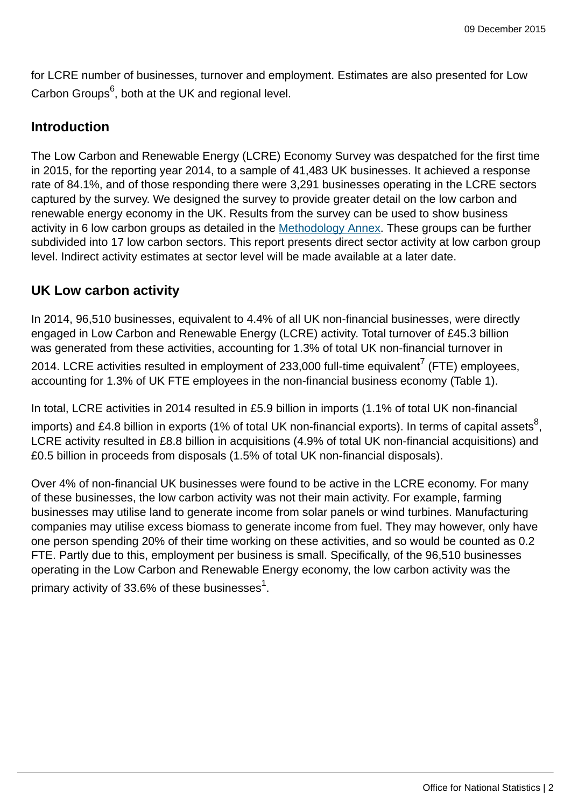for LCRE number of businesses, turnover and employment. Estimates are also presented for Low Carbon Groups<sup>6</sup>, both at the UK and regional level.

## **Introduction**

The Low Carbon and Renewable Energy (LCRE) Economy Survey was despatched for the first time in 2015, for the reporting year 2014, to a sample of 41,483 UK businesses. It achieved a response rate of 84.1%, and of those responding there were 3,291 businesses operating in the LCRE sectors captured by the survey. We designed the survey to provide greater detail on the low carbon and renewable energy economy in the UK. Results from the survey can be used to show business activity in 6 low carbon groups as detailed in the [Methodology Annex](http://www.ons.gov.uk:80/ons). These groups can be further subdivided into 17 low carbon sectors. This report presents direct sector activity at low carbon group level. Indirect activity estimates at sector level will be made available at a later date.

# **UK Low carbon activity**

In 2014, 96,510 businesses, equivalent to 4.4% of all UK non-financial businesses, were directly engaged in Low Carbon and Renewable Energy (LCRE) activity. Total turnover of £45.3 billion was generated from these activities, accounting for 1.3% of total UK non-financial turnover in

2014. LCRE activities resulted in employment of 233,000 full-time equivalent<sup>7</sup> (FTE) employees, accounting for 1.3% of UK FTE employees in the non-financial business economy (Table 1).

In total, LCRE activities in 2014 resulted in £5.9 billion in imports (1.1% of total UK non-financial

imports) and £4.8 billion in exports (1% of total UK non-financial exports). In terms of capital assets $^8\!$ LCRE activity resulted in £8.8 billion in acquisitions (4.9% of total UK non-financial acquisitions) and £0.5 billion in proceeds from disposals (1.5% of total UK non-financial disposals).

Over 4% of non-financial UK businesses were found to be active in the LCRE economy. For many of these businesses, the low carbon activity was not their main activity. For example, farming businesses may utilise land to generate income from solar panels or wind turbines. Manufacturing companies may utilise excess biomass to generate income from fuel. They may however, only have one person spending 20% of their time working on these activities, and so would be counted as 0.2 FTE. Partly due to this, employment per business is small. Specifically, of the 96,510 businesses operating in the Low Carbon and Renewable Energy economy, the low carbon activity was the primary activity of 33.6% of these businesses $^{\rm 1}.$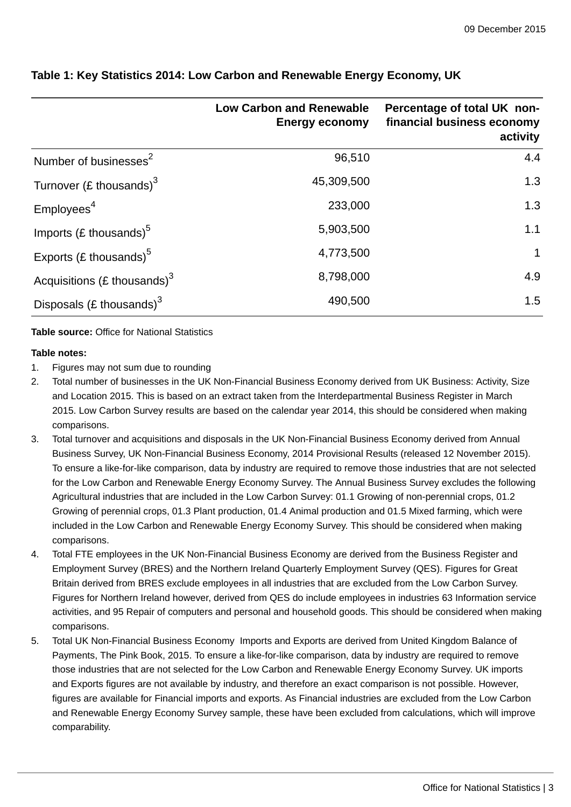|                                   | <b>Low Carbon and Renewable</b><br><b>Energy economy</b> | Percentage of total UK non-<br>financial business economy<br>activity |
|-----------------------------------|----------------------------------------------------------|-----------------------------------------------------------------------|
| Number of businesses <sup>2</sup> | 96,510                                                   | 4.4                                                                   |
| Turnover (£ thousands) $3$        | 45,309,500                                               | 1.3                                                                   |
| Employees <sup>4</sup>            | 233,000                                                  | 1.3                                                                   |
| Imports (£ thousands) $5$         | 5,903,500                                                | 1.1                                                                   |
| Exports (£ thousands) $5$         | 4,773,500                                                | $\mathbf 1$                                                           |
| Acquisitions (£ thousands) $3$    | 8,798,000                                                | 4.9                                                                   |
| Disposals (£ thousands) $3$       | 490,500                                                  | 1.5                                                                   |

## **Table 1: Key Statistics 2014: Low Carbon and Renewable Energy Economy, UK**

#### **Table source:** Office for National Statistics

#### **Table notes:**

- 1. Figures may not sum due to rounding
- 2. Total number of businesses in the UK Non-Financial Business Economy derived from UK Business: Activity, Size and Location 2015. This is based on an extract taken from the Interdepartmental Business Register in March 2015. Low Carbon Survey results are based on the calendar year 2014, this should be considered when making comparisons.
- 3. Total turnover and acquisitions and disposals in the UK Non-Financial Business Economy derived from Annual Business Survey, UK Non-Financial Business Economy, 2014 Provisional Results (released 12 November 2015). To ensure a like-for-like comparison, data by industry are required to remove those industries that are not selected for the Low Carbon and Renewable Energy Economy Survey. The Annual Business Survey excludes the following Agricultural industries that are included in the Low Carbon Survey: 01.1 Growing of non-perennial crops, 01.2 Growing of perennial crops, 01.3 Plant production, 01.4 Animal production and 01.5 Mixed farming, which were included in the Low Carbon and Renewable Energy Economy Survey. This should be considered when making comparisons.
- 4. Total FTE employees in the UK Non-Financial Business Economy are derived from the Business Register and Employment Survey (BRES) and the Northern Ireland Quarterly Employment Survey (QES). Figures for Great Britain derived from BRES exclude employees in all industries that are excluded from the Low Carbon Survey. Figures for Northern Ireland however, derived from QES do include employees in industries 63 Information service activities, and 95 Repair of computers and personal and household goods. This should be considered when making comparisons.
- 5. Total UK Non-Financial Business Economy Imports and Exports are derived from United Kingdom Balance of Payments, The Pink Book, 2015. To ensure a like-for-like comparison, data by industry are required to remove those industries that are not selected for the Low Carbon and Renewable Energy Economy Survey. UK imports and Exports figures are not available by industry, and therefore an exact comparison is not possible. However, figures are available for Financial imports and exports. As Financial industries are excluded from the Low Carbon and Renewable Energy Economy Survey sample, these have been excluded from calculations, which will improve comparability.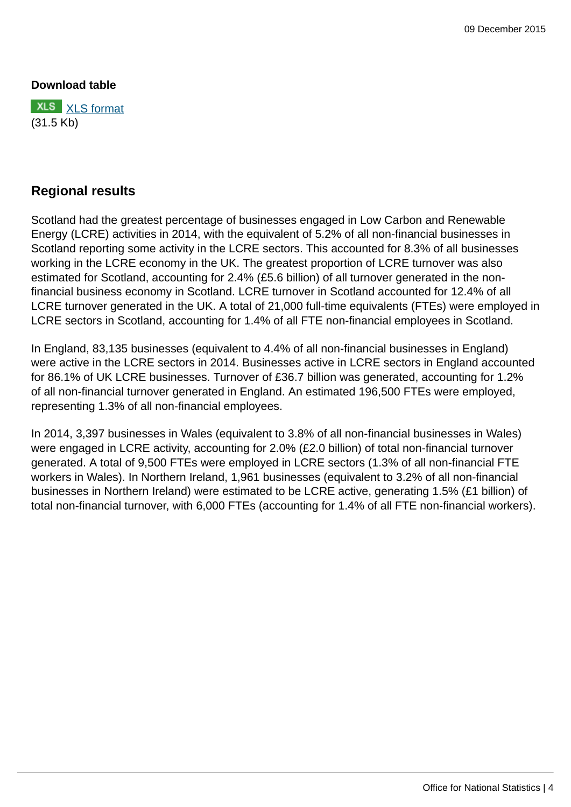#### **Download table**



## **Regional results**

Scotland had the greatest percentage of businesses engaged in Low Carbon and Renewable Energy (LCRE) activities in 2014, with the equivalent of 5.2% of all non-financial businesses in Scotland reporting some activity in the LCRE sectors. This accounted for 8.3% of all businesses working in the LCRE economy in the UK. The greatest proportion of LCRE turnover was also estimated for Scotland, accounting for 2.4% (£5.6 billion) of all turnover generated in the nonfinancial business economy in Scotland. LCRE turnover in Scotland accounted for 12.4% of all LCRE turnover generated in the UK. A total of 21,000 full-time equivalents (FTEs) were employed in LCRE sectors in Scotland, accounting for 1.4% of all FTE non-financial employees in Scotland.

In England, 83,135 businesses (equivalent to 4.4% of all non-financial businesses in England) were active in the LCRE sectors in 2014. Businesses active in LCRE sectors in England accounted for 86.1% of UK LCRE businesses. Turnover of £36.7 billion was generated, accounting for 1.2% of all non-financial turnover generated in England. An estimated 196,500 FTEs were employed, representing 1.3% of all non-financial employees.

In 2014, 3,397 businesses in Wales (equivalent to 3.8% of all non-financial businesses in Wales) were engaged in LCRE activity, accounting for 2.0% (£2.0 billion) of total non-financial turnover generated. A total of 9,500 FTEs were employed in LCRE sectors (1.3% of all non-financial FTE workers in Wales). In Northern Ireland, 1,961 businesses (equivalent to 3.2% of all non-financial businesses in Northern Ireland) were estimated to be LCRE active, generating 1.5% (£1 billion) of total non-financial turnover, with 6,000 FTEs (accounting for 1.4% of all FTE non-financial workers).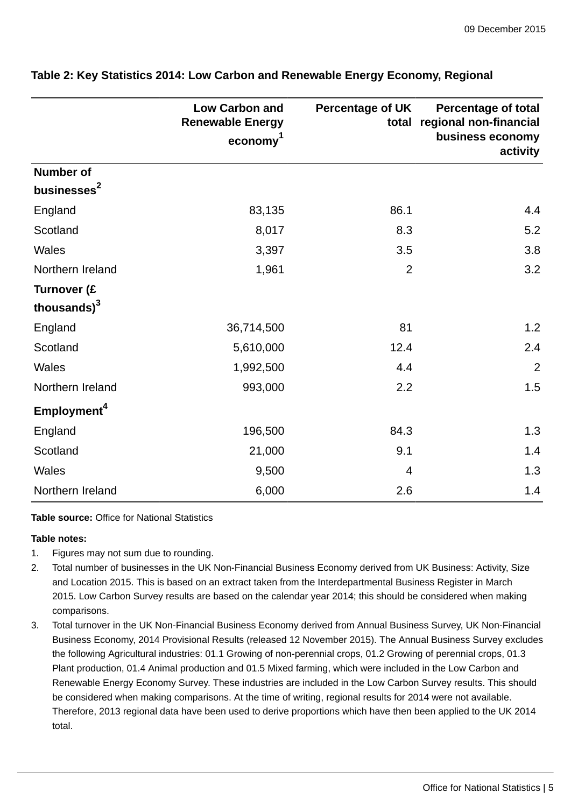|                                        | <b>Low Carbon and</b><br><b>Renewable Energy</b><br>$e_{\rm conomy}$ <sup>1</sup> | <b>Percentage of UK</b> | <b>Percentage of total</b><br>total regional non-financial<br>business economy<br>activity |
|----------------------------------------|-----------------------------------------------------------------------------------|-------------------------|--------------------------------------------------------------------------------------------|
| <b>Number of</b>                       |                                                                                   |                         |                                                                                            |
| businesses <sup>2</sup>                |                                                                                   |                         |                                                                                            |
| England                                | 83,135                                                                            | 86.1                    | 4.4                                                                                        |
| Scotland                               | 8,017                                                                             | 8.3                     | 5.2                                                                                        |
| Wales                                  | 3,397                                                                             | 3.5                     | 3.8                                                                                        |
| Northern Ireland                       | 1,961                                                                             | $\overline{2}$          | 3.2                                                                                        |
| Turnover (£<br>thousands) <sup>3</sup> |                                                                                   |                         |                                                                                            |
| England                                | 36,714,500                                                                        | 81                      | 1.2                                                                                        |
| Scotland                               | 5,610,000                                                                         | 12.4                    | 2.4                                                                                        |
| <b>Wales</b>                           | 1,992,500                                                                         | 4.4                     | $\overline{2}$                                                                             |
| Northern Ireland                       | 993,000                                                                           | 2.2                     | 1.5                                                                                        |
| Employment <sup>4</sup>                |                                                                                   |                         |                                                                                            |
| England                                | 196,500                                                                           | 84.3                    | 1.3                                                                                        |
| Scotland                               | 21,000                                                                            | 9.1                     | 1.4                                                                                        |
| <b>Wales</b>                           | 9,500                                                                             | $\overline{4}$          | 1.3                                                                                        |
| Northern Ireland                       | 6,000                                                                             | 2.6                     | 1.4                                                                                        |

## **Table 2: Key Statistics 2014: Low Carbon and Renewable Energy Economy, Regional**

**Table source:** Office for National Statistics

#### **Table notes:**

- 1. Figures may not sum due to rounding.
- 2. Total number of businesses in the UK Non-Financial Business Economy derived from UK Business: Activity, Size and Location 2015. This is based on an extract taken from the Interdepartmental Business Register in March 2015. Low Carbon Survey results are based on the calendar year 2014; this should be considered when making comparisons.
- 3. Total turnover in the UK Non-Financial Business Economy derived from Annual Business Survey, UK Non-Financial Business Economy, 2014 Provisional Results (released 12 November 2015). The Annual Business Survey excludes the following Agricultural industries: 01.1 Growing of non-perennial crops, 01.2 Growing of perennial crops, 01.3 Plant production, 01.4 Animal production and 01.5 Mixed farming, which were included in the Low Carbon and Renewable Energy Economy Survey. These industries are included in the Low Carbon Survey results. This should be considered when making comparisons. At the time of writing, regional results for 2014 were not available. Therefore, 2013 regional data have been used to derive proportions which have then been applied to the UK 2014 total.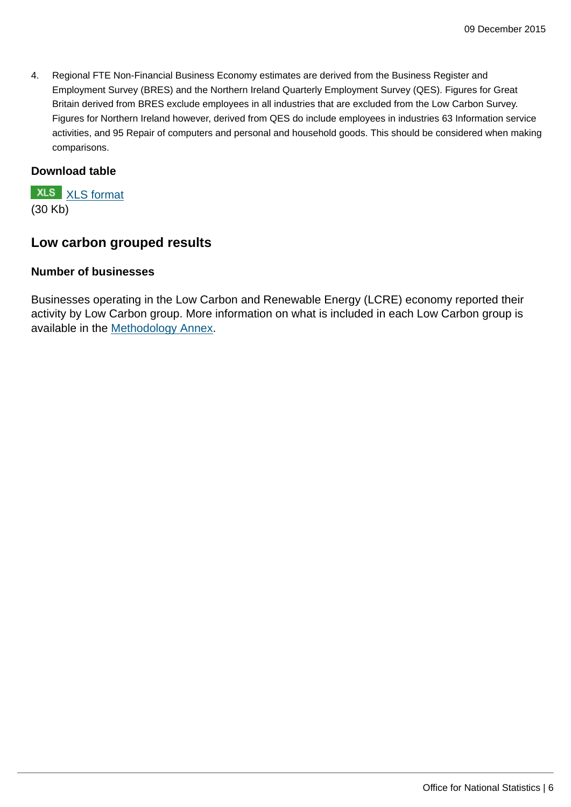4. Regional FTE Non-Financial Business Economy estimates are derived from the Business Register and Employment Survey (BRES) and the Northern Ireland Quarterly Employment Survey (QES). Figures for Great Britain derived from BRES exclude employees in all industries that are excluded from the Low Carbon Survey. Figures for Northern Ireland however, derived from QES do include employees in industries 63 Information service activities, and 95 Repair of computers and personal and household goods. This should be considered when making comparisons.

## **Download table**

**XLS** [XLS format](http://www.ons.gov.uk:80/ons/rel/environmental/uk-environmental-accounts/low-carbon-and-renewable-energy-economy-survey--2014/prt-2.xls) (30 Kb)

## **Low carbon grouped results**

#### **Number of businesses**

Businesses operating in the Low Carbon and Renewable Energy (LCRE) economy reported their activity by Low Carbon group. More information on what is included in each Low Carbon group is available in the [Methodology Annex.](http://www.ons.gov.uk:80/ons)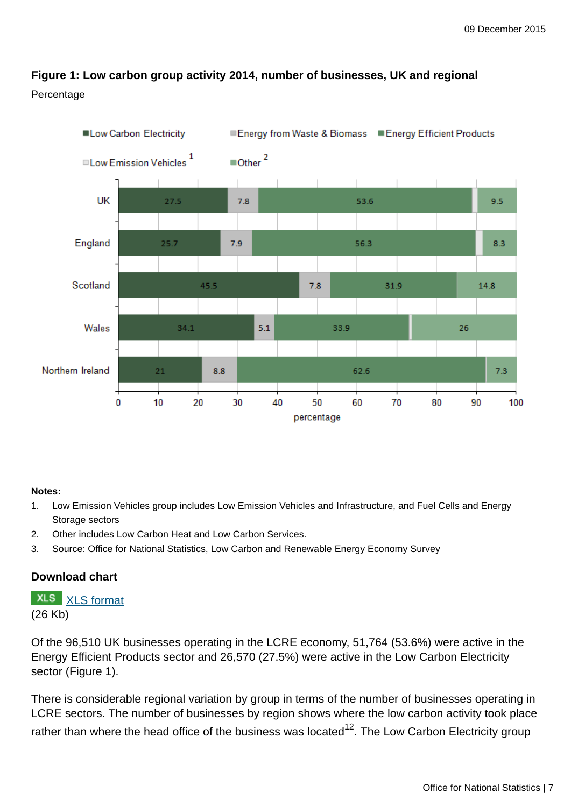# **Figure 1: Low carbon group activity 2014, number of businesses, UK and regional** Percentage



## **Notes:**

- 1. Low Emission Vehicles group includes Low Emission Vehicles and Infrastructure, and Fuel Cells and Energy Storage sectors
- 2. Other includes Low Carbon Heat and Low Carbon Services.
- 3. Source: Office for National Statistics, Low Carbon and Renewable Energy Economy Survey

## **Download chart**

**XLS** [XLS format](http://www.ons.gov.uk:80/ons/rel/environmental/uk-environmental-accounts/low-carbon-and-renewable-energy-economy-survey--2014/chd-1.xls) (26 Kb)

Of the 96,510 UK businesses operating in the LCRE economy, 51,764 (53.6%) were active in the Energy Efficient Products sector and 26,570 (27.5%) were active in the Low Carbon Electricity sector (Figure 1).

There is considerable regional variation by group in terms of the number of businesses operating in LCRE sectors. The number of businesses by region shows where the low carbon activity took place rather than where the head office of the business was located $^{12}$ . The Low Carbon Electricity group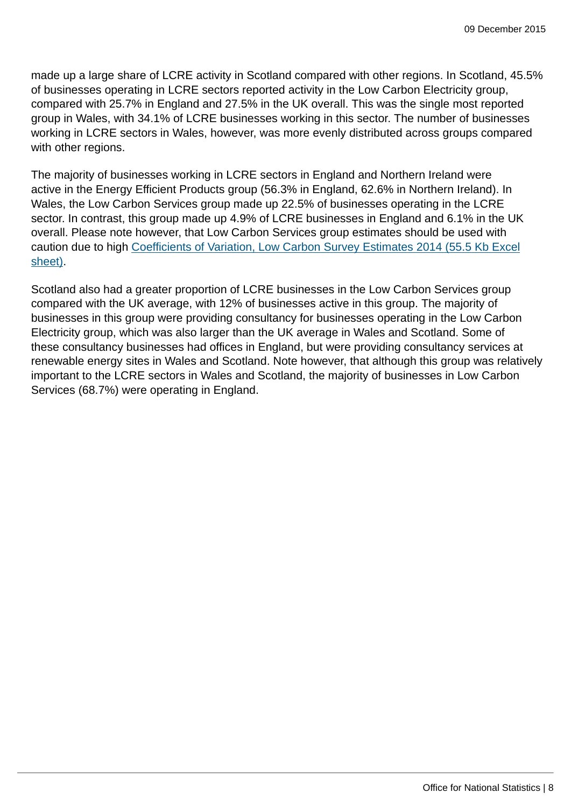made up a large share of LCRE activity in Scotland compared with other regions. In Scotland, 45.5% of businesses operating in LCRE sectors reported activity in the Low Carbon Electricity group, compared with 25.7% in England and 27.5% in the UK overall. This was the single most reported group in Wales, with 34.1% of LCRE businesses working in this sector. The number of businesses working in LCRE sectors in Wales, however, was more evenly distributed across groups compared with other regions.

The majority of businesses working in LCRE sectors in England and Northern Ireland were active in the Energy Efficient Products group (56.3% in England, 62.6% in Northern Ireland). In Wales, the Low Carbon Services group made up 22.5% of businesses operating in the LCRE sector. In contrast, this group made up 4.9% of LCRE businesses in England and 6.1% in the UK overall. Please note however, that Low Carbon Services group estimates should be used with caution due to high [Coefficients of Variation, Low Carbon Survey Estimates 2014 \(55.5 Kb Excel](http://www.ons.gov.uk:80/ons/rel/environmental/uk-environmental-accounts/low-carbon-and-renewable-energy-economy-survey--2014/rft-2-coefficients.xls) [sheet\).](http://www.ons.gov.uk:80/ons/rel/environmental/uk-environmental-accounts/low-carbon-and-renewable-energy-economy-survey--2014/rft-2-coefficients.xls)

Scotland also had a greater proportion of LCRE businesses in the Low Carbon Services group compared with the UK average, with 12% of businesses active in this group. The majority of businesses in this group were providing consultancy for businesses operating in the Low Carbon Electricity group, which was also larger than the UK average in Wales and Scotland. Some of these consultancy businesses had offices in England, but were providing consultancy services at renewable energy sites in Wales and Scotland. Note however, that although this group was relatively important to the LCRE sectors in Wales and Scotland, the majority of businesses in Low Carbon Services (68.7%) were operating in England.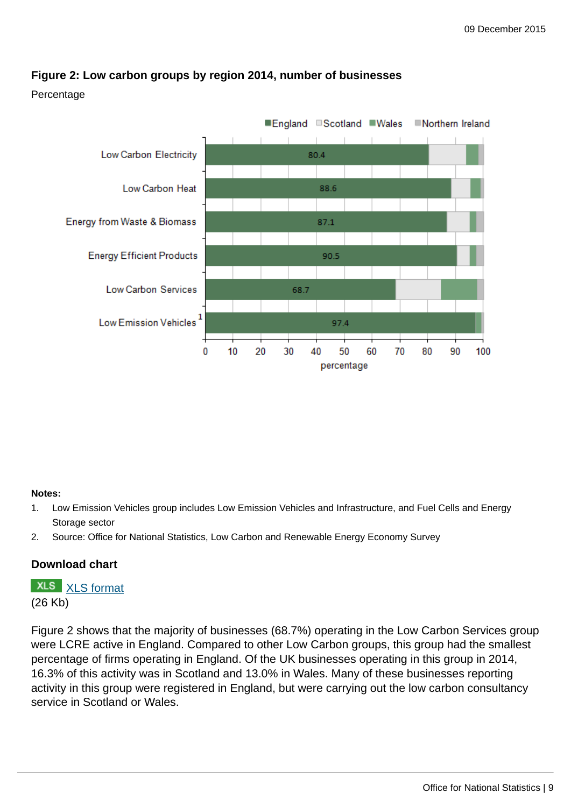

## **Figure 2: Low carbon groups by region 2014, number of businesses**

Percentage

#### **Notes:**

- 1. Low Emission Vehicles group includes Low Emission Vehicles and Infrastructure, and Fuel Cells and Energy Storage sector
- 2. Source: Office for National Statistics, Low Carbon and Renewable Energy Economy Survey

## **Download chart**

**XLS** [XLS format](http://www.ons.gov.uk:80/ons/rel/environmental/uk-environmental-accounts/low-carbon-and-renewable-energy-economy-survey--2014/chd-2.xls) (26 Kb)

Figure 2 shows that the majority of businesses (68.7%) operating in the Low Carbon Services group were LCRE active in England. Compared to other Low Carbon groups, this group had the smallest percentage of firms operating in England. Of the UK businesses operating in this group in 2014, 16.3% of this activity was in Scotland and 13.0% in Wales. Many of these businesses reporting activity in this group were registered in England, but were carrying out the low carbon consultancy service in Scotland or Wales.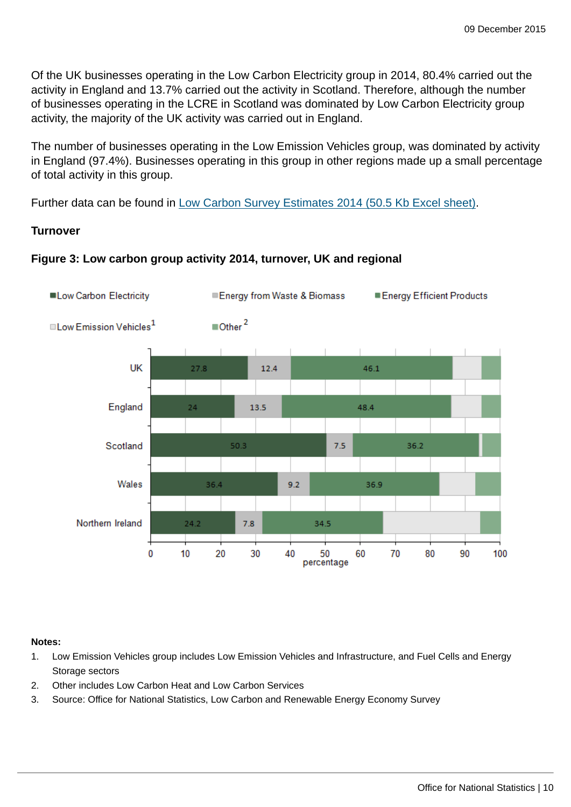Of the UK businesses operating in the Low Carbon Electricity group in 2014, 80.4% carried out the activity in England and 13.7% carried out the activity in Scotland. Therefore, although the number of businesses operating in the LCRE in Scotland was dominated by Low Carbon Electricity group activity, the majority of the UK activity was carried out in England.

The number of businesses operating in the Low Emission Vehicles group, was dominated by activity in England (97.4%). Businesses operating in this group in other regions made up a small percentage of total activity in this group.

Further data can be found in [Low Carbon Survey Estimates 2014 \(50.5 Kb Excel sheet\).](http://www.ons.gov.uk:80/ons/rel/environmental/uk-environmental-accounts/low-carbon-and-renewable-energy-economy-survey--2014/rft-1.xls)

## **Turnover**



## **Figure 3: Low carbon group activity 2014, turnover, UK and regional**

#### **Notes:**

- 1. Low Emission Vehicles group includes Low Emission Vehicles and Infrastructure, and Fuel Cells and Energy Storage sectors
- 2. Other includes Low Carbon Heat and Low Carbon Services
- 3. Source: Office for National Statistics, Low Carbon and Renewable Energy Economy Survey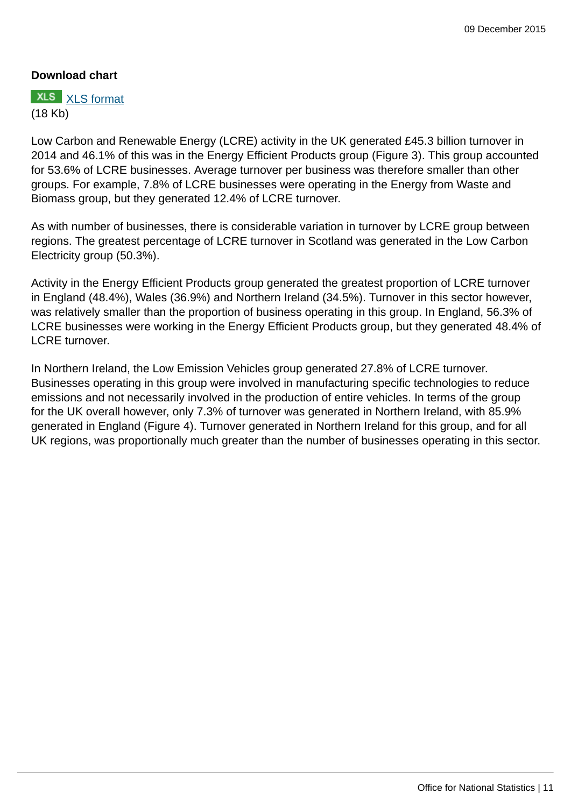## **Download chart**

**XLS** [XLS format](http://www.ons.gov.uk:80/ons/rel/environmental/uk-environmental-accounts/low-carbon-and-renewable-energy-economy-survey--2014/chd-3.xls) (18 Kb)

Low Carbon and Renewable Energy (LCRE) activity in the UK generated £45.3 billion turnover in 2014 and 46.1% of this was in the Energy Efficient Products group (Figure 3). This group accounted for 53.6% of LCRE businesses. Average turnover per business was therefore smaller than other groups. For example, 7.8% of LCRE businesses were operating in the Energy from Waste and Biomass group, but they generated 12.4% of LCRE turnover.

As with number of businesses, there is considerable variation in turnover by LCRE group between regions. The greatest percentage of LCRE turnover in Scotland was generated in the Low Carbon Electricity group (50.3%).

Activity in the Energy Efficient Products group generated the greatest proportion of LCRE turnover in England (48.4%), Wales (36.9%) and Northern Ireland (34.5%). Turnover in this sector however, was relatively smaller than the proportion of business operating in this group. In England, 56.3% of LCRE businesses were working in the Energy Efficient Products group, but they generated 48.4% of LCRE turnover.

In Northern Ireland, the Low Emission Vehicles group generated 27.8% of LCRE turnover. Businesses operating in this group were involved in manufacturing specific technologies to reduce emissions and not necessarily involved in the production of entire vehicles. In terms of the group for the UK overall however, only 7.3% of turnover was generated in Northern Ireland, with 85.9% generated in England (Figure 4). Turnover generated in Northern Ireland for this group, and for all UK regions, was proportionally much greater than the number of businesses operating in this sector.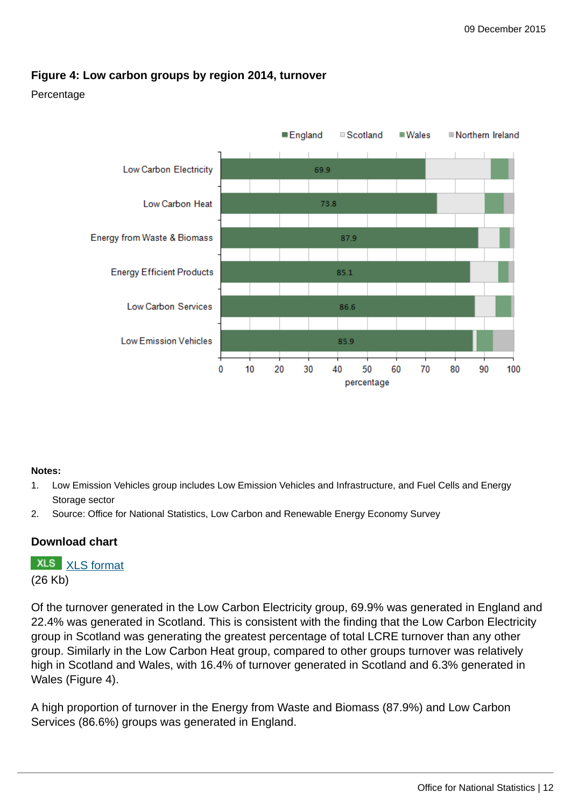## **Figure 4: Low carbon groups by region 2014, turnover**

#### Percentage



#### **Notes:**

- 1. Low Emission Vehicles group includes Low Emission Vehicles and Infrastructure, and Fuel Cells and Energy Storage sector
- 2. Source: Office for National Statistics, Low Carbon and Renewable Energy Economy Survey

## **Download chart**

**XLS** [XLS format](http://www.ons.gov.uk:80/ons/rel/environmental/uk-environmental-accounts/low-carbon-and-renewable-energy-economy-survey--2014/chd-4.xls) (26 Kb)

Of the turnover generated in the Low Carbon Electricity group, 69.9% was generated in England and 22.4% was generated in Scotland. This is consistent with the finding that the Low Carbon Electricity group in Scotland was generating the greatest percentage of total LCRE turnover than any other group. Similarly in the Low Carbon Heat group, compared to other groups turnover was relatively high in Scotland and Wales, with 16.4% of turnover generated in Scotland and 6.3% generated in Wales (Figure 4).

A high proportion of turnover in the Energy from Waste and Biomass (87.9%) and Low Carbon Services (86.6%) groups was generated in England.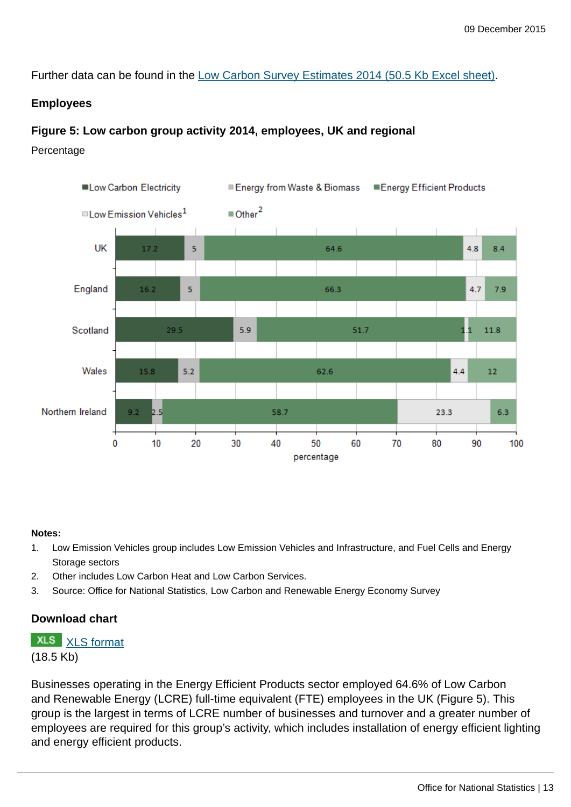Further data can be found in the [Low Carbon Survey Estimates 2014 \(50.5 Kb Excel sheet\).](http://www.ons.gov.uk:80/ons/rel/environmental/uk-environmental-accounts/low-carbon-and-renewable-energy-economy-survey--2014/rft-1.xls)

#### **Employees**

#### **Figure 5: Low carbon group activity 2014, employees, UK and regional**

Percentage



#### **Notes:**

- 1. Low Emission Vehicles group includes Low Emission Vehicles and Infrastructure, and Fuel Cells and Energy Storage sectors
- 2. Other includes Low Carbon Heat and Low Carbon Services.
- 3. Source: Office for National Statistics, Low Carbon and Renewable Energy Economy Survey

#### **Download chart**

**XLS** [XLS format](http://www.ons.gov.uk:80/ons/rel/environmental/uk-environmental-accounts/low-carbon-and-renewable-energy-economy-survey--2014/chd-5.xls)

(18.5 Kb)

Businesses operating in the Energy Efficient Products sector employed 64.6% of Low Carbon and Renewable Energy (LCRE) full-time equivalent (FTE) employees in the UK (Figure 5). This group is the largest in terms of LCRE number of businesses and turnover and a greater number of employees are required for this group's activity, which includes installation of energy efficient lighting and energy efficient products.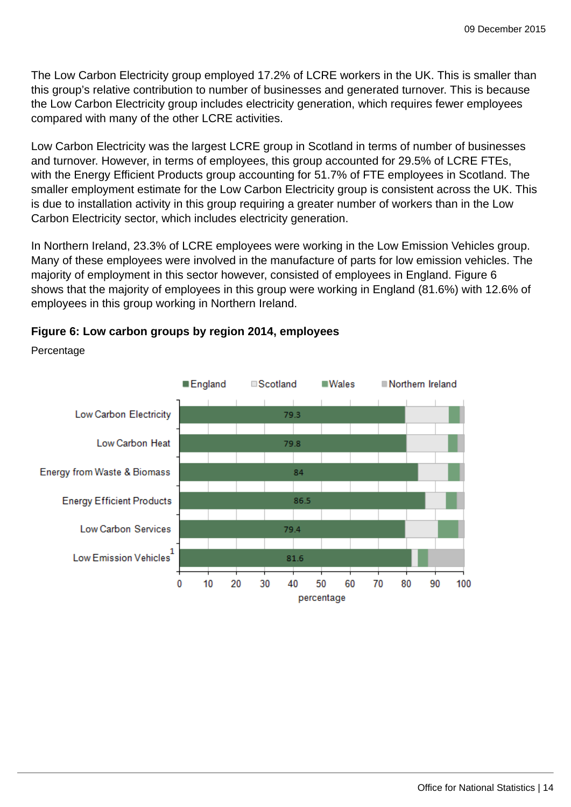The Low Carbon Electricity group employed 17.2% of LCRE workers in the UK. This is smaller than this group's relative contribution to number of businesses and generated turnover. This is because the Low Carbon Electricity group includes electricity generation, which requires fewer employees compared with many of the other LCRE activities.

Low Carbon Electricity was the largest LCRE group in Scotland in terms of number of businesses and turnover. However, in terms of employees, this group accounted for 29.5% of LCRE FTEs, with the Energy Efficient Products group accounting for 51.7% of FTE employees in Scotland. The smaller employment estimate for the Low Carbon Electricity group is consistent across the UK. This is due to installation activity in this group requiring a greater number of workers than in the Low Carbon Electricity sector, which includes electricity generation.

In Northern Ireland, 23.3% of LCRE employees were working in the Low Emission Vehicles group. Many of these employees were involved in the manufacture of parts for low emission vehicles. The majority of employment in this sector however, consisted of employees in England. Figure 6 shows that the majority of employees in this group were working in England (81.6%) with 12.6% of employees in this group working in Northern Ireland.



#### **Figure 6: Low carbon groups by region 2014, employees**

Percentage

Office for National Statistics | 14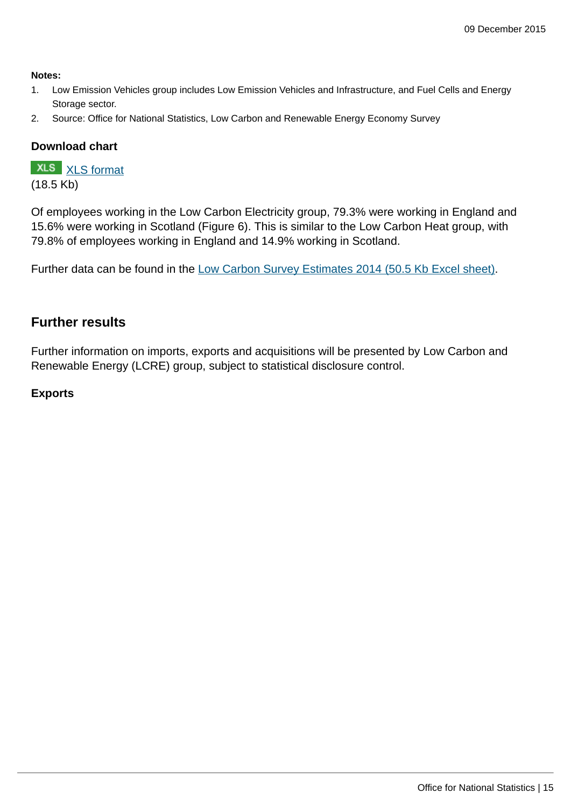#### **Notes:**

- 1. Low Emission Vehicles group includes Low Emission Vehicles and Infrastructure, and Fuel Cells and Energy Storage sector.
- 2. Source: Office for National Statistics, Low Carbon and Renewable Energy Economy Survey

## **Download chart**

**XLS** [XLS format](http://www.ons.gov.uk:80/ons/rel/environmental/uk-environmental-accounts/low-carbon-and-renewable-energy-economy-survey--2014/chd-6.xls)

(18.5 Kb)

Of employees working in the Low Carbon Electricity group, 79.3% were working in England and 15.6% were working in Scotland (Figure 6). This is similar to the Low Carbon Heat group, with 79.8% of employees working in England and 14.9% working in Scotland.

Further data can be found in the [Low Carbon Survey Estimates 2014 \(50.5 Kb Excel sheet\).](http://www.ons.gov.uk:80/ons/rel/environmental/uk-environmental-accounts/low-carbon-and-renewable-energy-economy-survey--2014/rft-1.xls)

## **Further results**

Further information on imports, exports and acquisitions will be presented by Low Carbon and Renewable Energy (LCRE) group, subject to statistical disclosure control.

#### **Exports**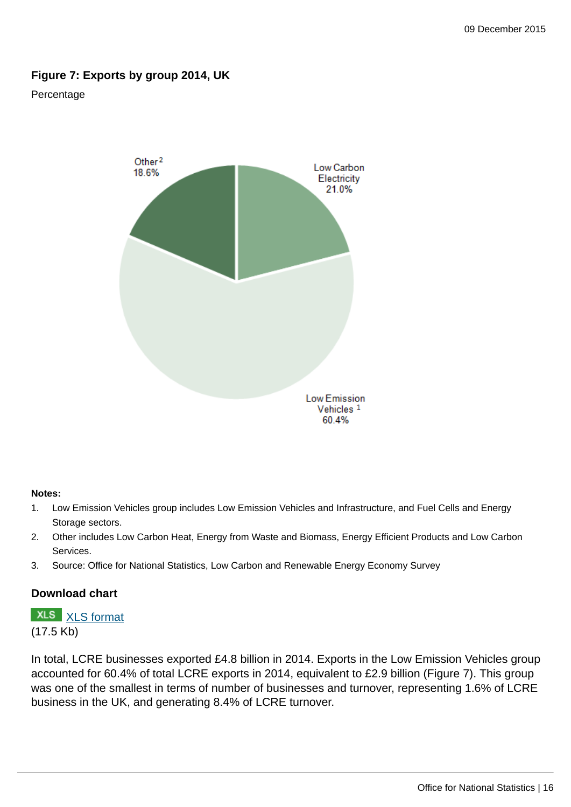## **Figure 7: Exports by group 2014, UK**

#### Percentage



#### **Notes:**

- 1. Low Emission Vehicles group includes Low Emission Vehicles and Infrastructure, and Fuel Cells and Energy Storage sectors.
- 2. Other includes Low Carbon Heat, Energy from Waste and Biomass, Energy Efficient Products and Low Carbon Services.
- 3. Source: Office for National Statistics, Low Carbon and Renewable Energy Economy Survey

#### **Download chart**

# **XLS** [XLS format](http://www.ons.gov.uk:80/ons/rel/environmental/uk-environmental-accounts/low-carbon-and-renewable-energy-economy-survey--2014/chd-7.xls) (17.5 Kb)

In total, LCRE businesses exported £4.8 billion in 2014. Exports in the Low Emission Vehicles group accounted for 60.4% of total LCRE exports in 2014, equivalent to £2.9 billion (Figure 7). This group was one of the smallest in terms of number of businesses and turnover, representing 1.6% of LCRE business in the UK, and generating 8.4% of LCRE turnover.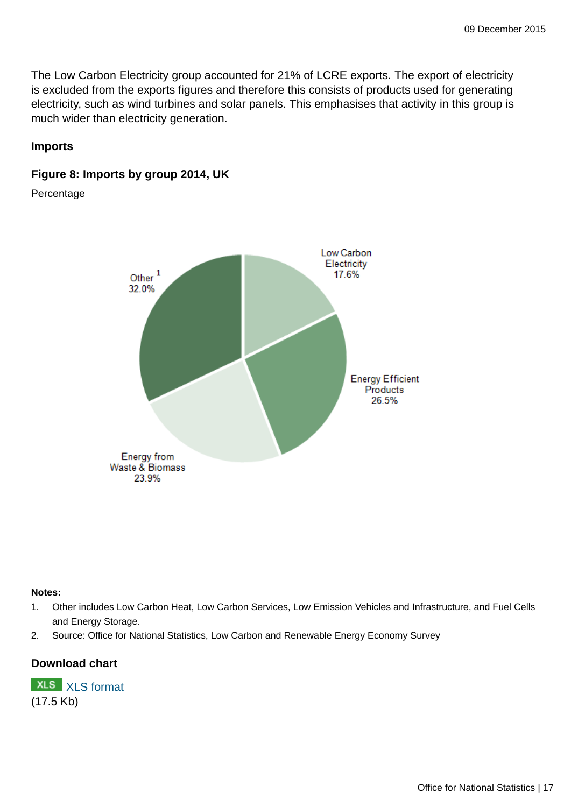The Low Carbon Electricity group accounted for 21% of LCRE exports. The export of electricity is excluded from the exports figures and therefore this consists of products used for generating electricity, such as wind turbines and solar panels. This emphasises that activity in this group is much wider than electricity generation.

## **Imports**

## **Figure 8: Imports by group 2014, UK**

Percentage



#### **Notes:**

- 1. Other includes Low Carbon Heat, Low Carbon Services, Low Emission Vehicles and Infrastructure, and Fuel Cells and Energy Storage.
- 2. Source: Office for National Statistics, Low Carbon and Renewable Energy Economy Survey

## **Download chart**

**XLS** [XLS format](http://www.ons.gov.uk:80/ons/rel/environmental/uk-environmental-accounts/low-carbon-and-renewable-energy-economy-survey--2014/chd-8.xls) (17.5 Kb)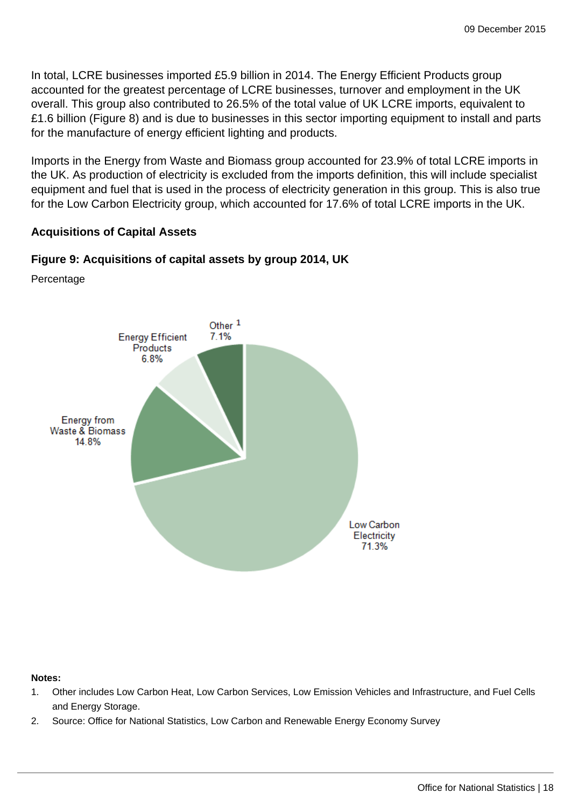In total, LCRE businesses imported £5.9 billion in 2014. The Energy Efficient Products group accounted for the greatest percentage of LCRE businesses, turnover and employment in the UK overall. This group also contributed to 26.5% of the total value of UK LCRE imports, equivalent to £1.6 billion (Figure 8) and is due to businesses in this sector importing equipment to install and parts for the manufacture of energy efficient lighting and products.

Imports in the Energy from Waste and Biomass group accounted for 23.9% of total LCRE imports in the UK. As production of electricity is excluded from the imports definition, this will include specialist equipment and fuel that is used in the process of electricity generation in this group. This is also true for the Low Carbon Electricity group, which accounted for 17.6% of total LCRE imports in the UK.

#### **Acquisitions of Capital Assets**

#### **Figure 9: Acquisitions of capital assets by group 2014, UK**

Percentage



#### **Notes:**

- 1. Other includes Low Carbon Heat, Low Carbon Services, Low Emission Vehicles and Infrastructure, and Fuel Cells and Energy Storage.
- 2. Source: Office for National Statistics, Low Carbon and Renewable Energy Economy Survey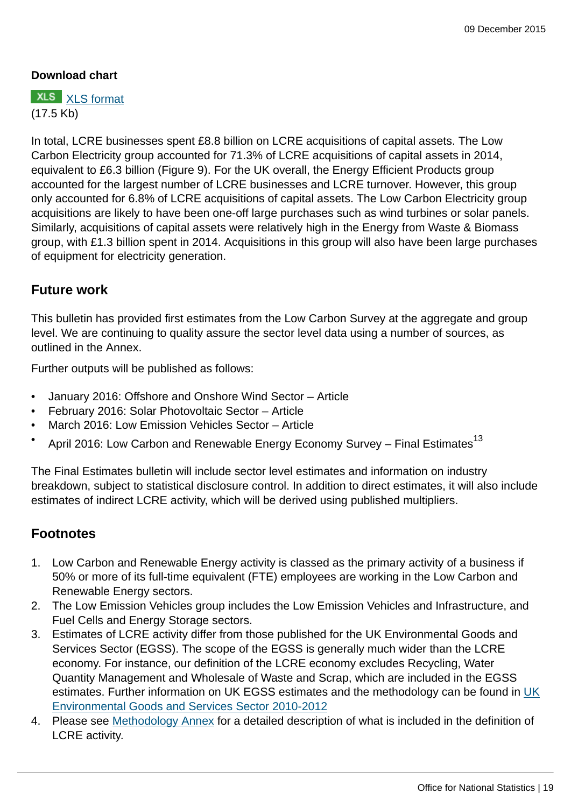## **Download chart**

**XLS** [XLS format](http://www.ons.gov.uk:80/ons/rel/environmental/uk-environmental-accounts/low-carbon-and-renewable-energy-economy-survey--2014/chd-9.xls) (17.5 Kb)

In total, LCRE businesses spent £8.8 billion on LCRE acquisitions of capital assets. The Low Carbon Electricity group accounted for 71.3% of LCRE acquisitions of capital assets in 2014, equivalent to £6.3 billion (Figure 9). For the UK overall, the Energy Efficient Products group accounted for the largest number of LCRE businesses and LCRE turnover. However, this group only accounted for 6.8% of LCRE acquisitions of capital assets. The Low Carbon Electricity group acquisitions are likely to have been one-off large purchases such as wind turbines or solar panels. Similarly, acquisitions of capital assets were relatively high in the Energy from Waste & Biomass group, with £1.3 billion spent in 2014. Acquisitions in this group will also have been large purchases of equipment for electricity generation.

## **Future work**

This bulletin has provided first estimates from the Low Carbon Survey at the aggregate and group level. We are continuing to quality assure the sector level data using a number of sources, as outlined in the Annex.

Further outputs will be published as follows:

- January 2016: Offshore and Onshore Wind Sector Article
- February 2016: Solar Photovoltaic Sector Article
- March 2016: Low Emission Vehicles Sector Article
- April 2016: Low Carbon and Renewable Energy Economy Survey Final Estimates $^{13}$

The Final Estimates bulletin will include sector level estimates and information on industry breakdown, subject to statistical disclosure control. In addition to direct estimates, it will also include estimates of indirect LCRE activity, which will be derived using published multipliers.

## **Footnotes**

- 1. Low Carbon and Renewable Energy activity is classed as the primary activity of a business if 50% or more of its full-time equivalent (FTE) employees are working in the Low Carbon and Renewable Energy sectors.
- 2. The Low Emission Vehicles group includes the Low Emission Vehicles and Infrastructure, and Fuel Cells and Energy Storage sectors.
- 3. Estimates of LCRE activity differ from those published for the UK Environmental Goods and Services Sector (EGSS). The scope of the EGSS is generally much wider than the LCRE economy. For instance, our definition of the LCRE economy excludes Recycling, Water Quantity Management and Wholesale of Waste and Scrap, which are included in the EGSS estimates. Further information on UK EGSS estimates and the methodology can be found in [UK](http://www.ons.gov.uk:80/ons/rel/environmental/uk-environmental-accounts/goods-and-services-sector--egss---2010-2012/index.html) [Environmental Goods and Services Sector 2010-2012](http://www.ons.gov.uk:80/ons/rel/environmental/uk-environmental-accounts/goods-and-services-sector--egss---2010-2012/index.html)
- 4. Please see [Methodology Annex](http://www.ons.gov.uk:80/ons) for a detailed description of what is included in the definition of LCRE activity.